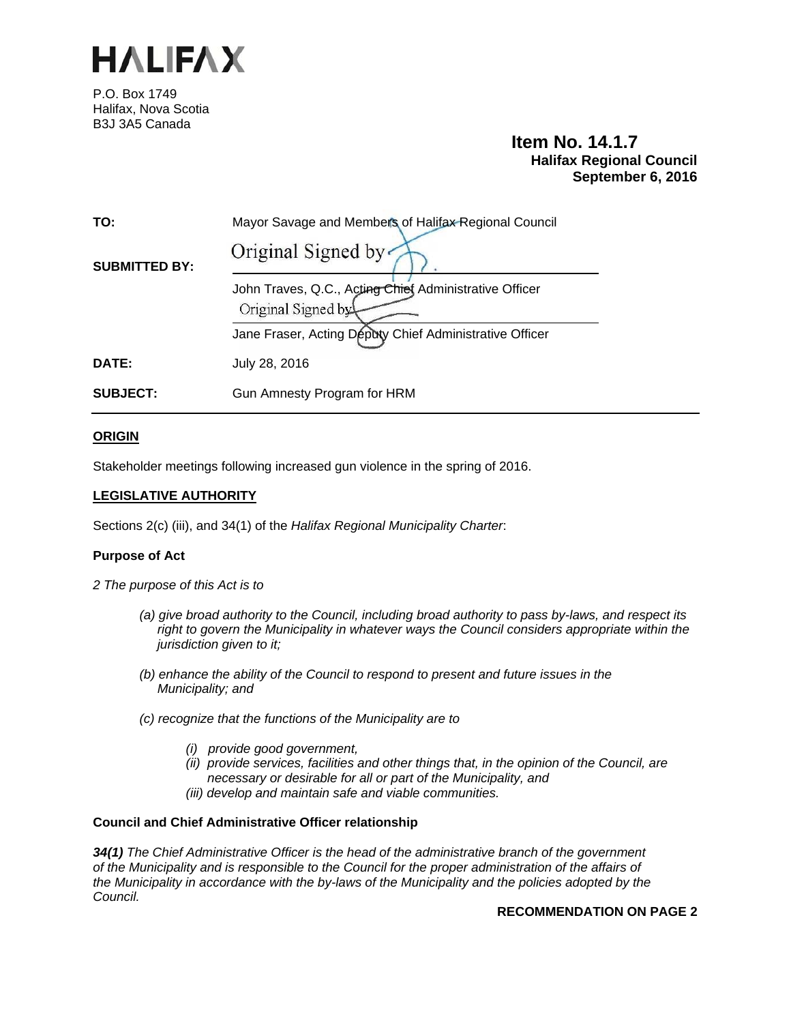

P.O. Box 1749 Halifax, Nova Scotia B3J 3A5 Canada

# **Item No. 14.1.7 Halifax Regional Council September 6, 2016**

| TO:                  | Mayor Savage and Members of Halifax Regional Council                         |
|----------------------|------------------------------------------------------------------------------|
| <b>SUBMITTED BY:</b> | Original Signed by                                                           |
|                      | John Traves, Q.C., Acting Chief Administrative Officer<br>Original Signed by |
|                      | Jane Fraser, Acting Deputy Chief Administrative Officer                      |
| DATE:                | July 28, 2016                                                                |
| <b>SUBJECT:</b>      | Gun Amnesty Program for HRM                                                  |

# **ORIGIN**

Stakeholder meetings following increased gun violence in the spring of 2016.

# **LEGISLATIVE AUTHORITY**

Sections 2(c) (iii), and 34(1) of the *Halifax Regional Municipality Charter*:

## **Purpose of Act**

- *2 The purpose of this Act is to* 
	- *(a) give broad authority to the Council, including broad authority to pass by-laws, and respect its right to govern the Municipality in whatever ways the Council considers appropriate within the jurisdiction given to it;*
	- *(b) enhance the ability of the Council to respond to present and future issues in the Municipality; and*
	- *(c) recognize that the functions of the Municipality are to* 
		- *(i) provide good government,*
		- *(ii) provide services, facilities and other things that, in the opinion of the Council, are necessary or desirable for all or part of the Municipality, and*
		- *(iii) develop and maintain safe and viable communities.*

# **Council and Chief Administrative Officer relationship**

*34(1) The Chief Administrative Officer is the head of the administrative branch of the government of the Municipality and is responsible to the Council for the proper administration of the affairs of the Municipality in accordance with the by-laws of the Municipality and the policies adopted by the Council.* 

# **RECOMMENDATION ON PAGE 2**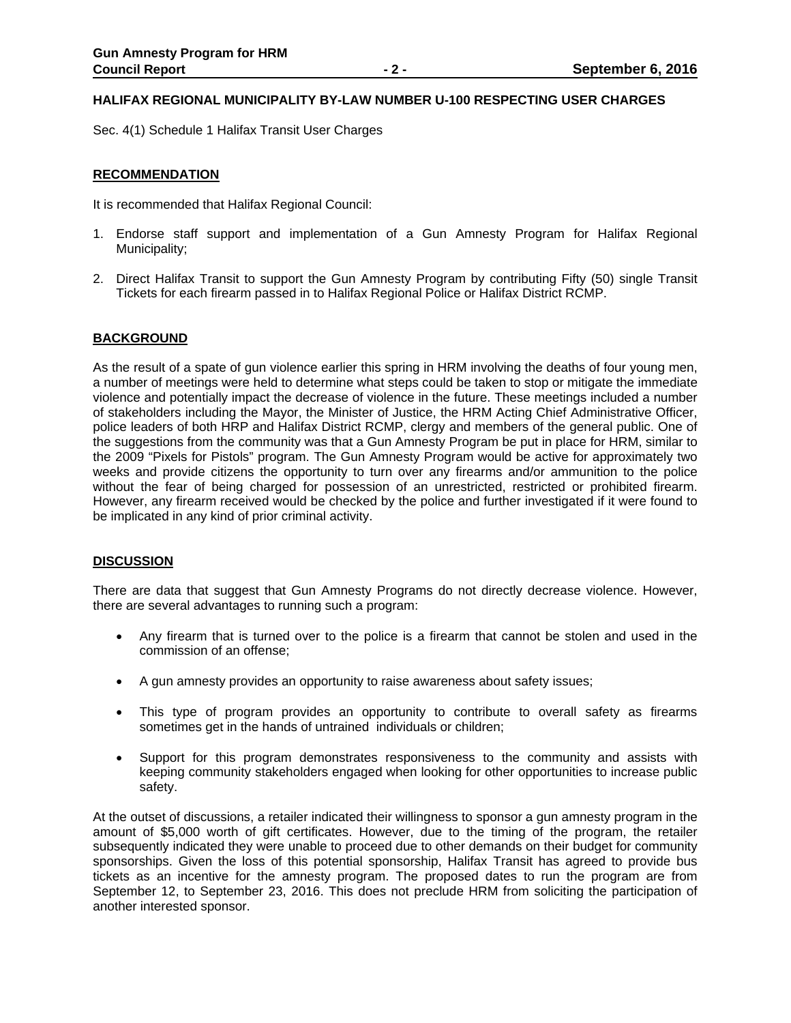## **HALIFAX REGIONAL MUNICIPALITY BY-LAW NUMBER U-100 RESPECTING USER CHARGES**

Sec. 4(1) Schedule 1 Halifax Transit User Charges

## **RECOMMENDATION**

It is recommended that Halifax Regional Council:

- 1. Endorse staff support and implementation of a Gun Amnesty Program for Halifax Regional Municipality;
- 2. Direct Halifax Transit to support the Gun Amnesty Program by contributing Fifty (50) single Transit Tickets for each firearm passed in to Halifax Regional Police or Halifax District RCMP.

## **BACKGROUND**

As the result of a spate of gun violence earlier this spring in HRM involving the deaths of four young men, a number of meetings were held to determine what steps could be taken to stop or mitigate the immediate violence and potentially impact the decrease of violence in the future. These meetings included a number of stakeholders including the Mayor, the Minister of Justice, the HRM Acting Chief Administrative Officer, police leaders of both HRP and Halifax District RCMP, clergy and members of the general public. One of the suggestions from the community was that a Gun Amnesty Program be put in place for HRM, similar to the 2009 "Pixels for Pistols" program. The Gun Amnesty Program would be active for approximately two weeks and provide citizens the opportunity to turn over any firearms and/or ammunition to the police without the fear of being charged for possession of an unrestricted, restricted or prohibited firearm. However, any firearm received would be checked by the police and further investigated if it were found to be implicated in any kind of prior criminal activity.

## **DISCUSSION**

There are data that suggest that Gun Amnesty Programs do not directly decrease violence. However, there are several advantages to running such a program:

- Any firearm that is turned over to the police is a firearm that cannot be stolen and used in the commission of an offense;
- A gun amnesty provides an opportunity to raise awareness about safety issues;
- This type of program provides an opportunity to contribute to overall safety as firearms sometimes get in the hands of untrained individuals or children;
- Support for this program demonstrates responsiveness to the community and assists with keeping community stakeholders engaged when looking for other opportunities to increase public safety.

At the outset of discussions, a retailer indicated their willingness to sponsor a gun amnesty program in the amount of \$5,000 worth of gift certificates. However, due to the timing of the program, the retailer subsequently indicated they were unable to proceed due to other demands on their budget for community sponsorships. Given the loss of this potential sponsorship, Halifax Transit has agreed to provide bus tickets as an incentive for the amnesty program. The proposed dates to run the program are from September 12, to September 23, 2016. This does not preclude HRM from soliciting the participation of another interested sponsor.